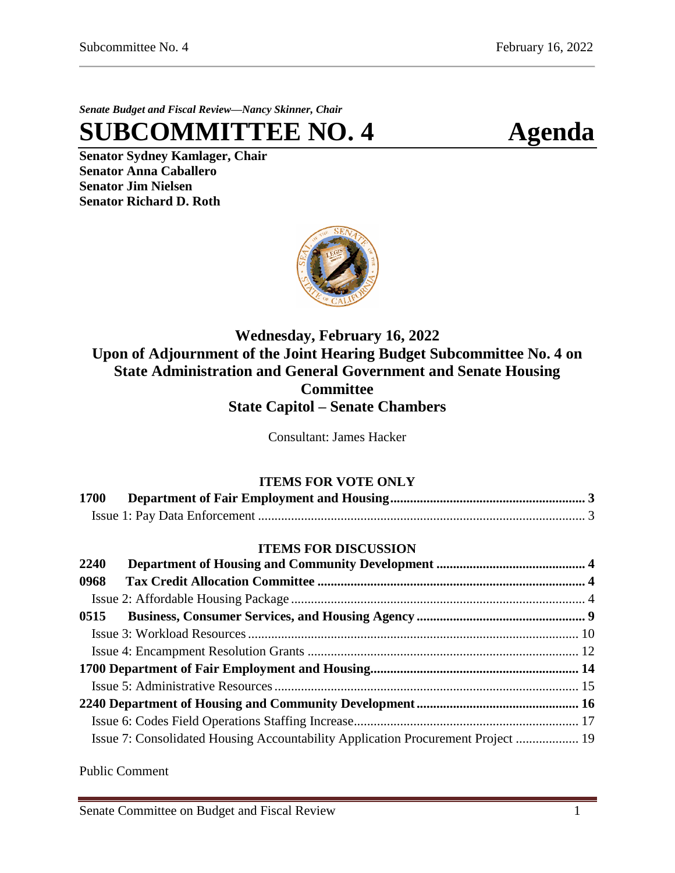*Senate Budget and Fiscal Review—Nancy Skinner, Chair*

**SUBCOMMITTEE NO. 4 Agenda**

**Senator Sydney Kamlager, Chair Senator Anna Caballero Senator Jim Nielsen Senator Richard D. Roth** 



# **Wednesday, February 16, 2022 Upon of Adjournment of the Joint Hearing Budget Subcommittee No. 4 on State Administration and General Government and Senate Housing Committee State Capitol – Senate Chambers**

Consultant: James Hacker

# **ITEMS FOR VOTE ONLY**

| <b>1700</b> |                             |  |
|-------------|-----------------------------|--|
|             |                             |  |
|             | <b>ITEMS FOR DISCUSSION</b> |  |
| 2240        |                             |  |
| 0968        |                             |  |
|             |                             |  |
|             |                             |  |

[Issue 3: Workload Resources....................................................................................................](#page-9-0) 10 Issue 4: Encampment Resolution Grants [..................................................................................](#page-11-0) 12 **[1700 Department of Fair Employment and Housing...............................................................](#page-13-0) 14** [Issue 5: Administrative Resources............................................................................................](#page-14-0) 15 **[2240 Department of Housing and Community Development.................................................](#page-15-0) 16** [Issue 6: Codes Field Operations Staffing Increase....................................................................](#page-16-0) 17 [Issue 7: Consolidated Housing Accountability Application Procurement Project](#page-18-0) ................... 19

Public Comment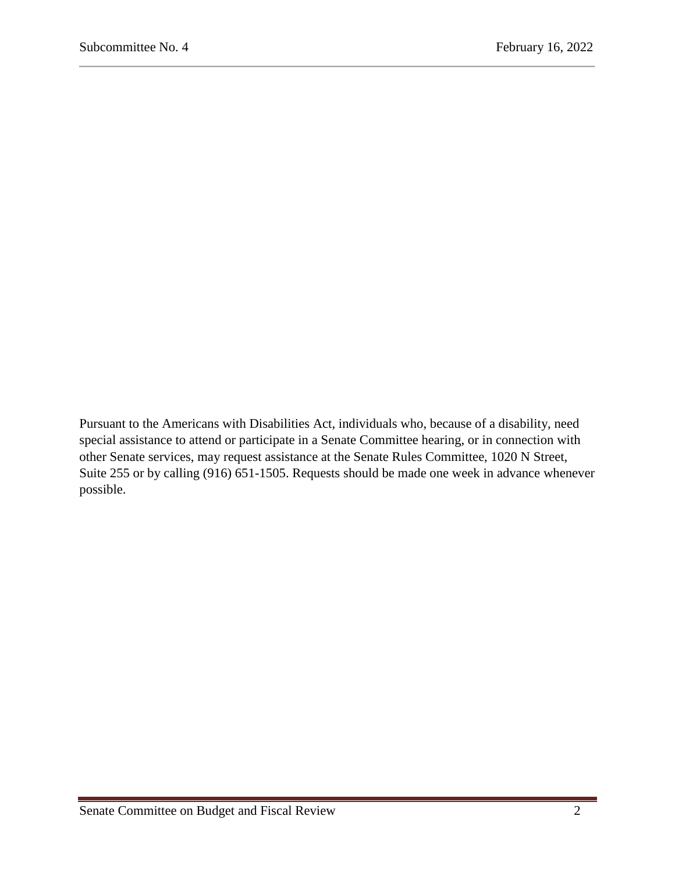Pursuant to the Americans with Disabilities Act, individuals who, because of a disability, need special assistance to attend or participate in a Senate Committee hearing, or in connection with other Senate services, may request assistance at the Senate Rules Committee, 1020 N Street, Suite 255 or by calling (916) 651-1505. Requests should be made one week in advance whenever possible.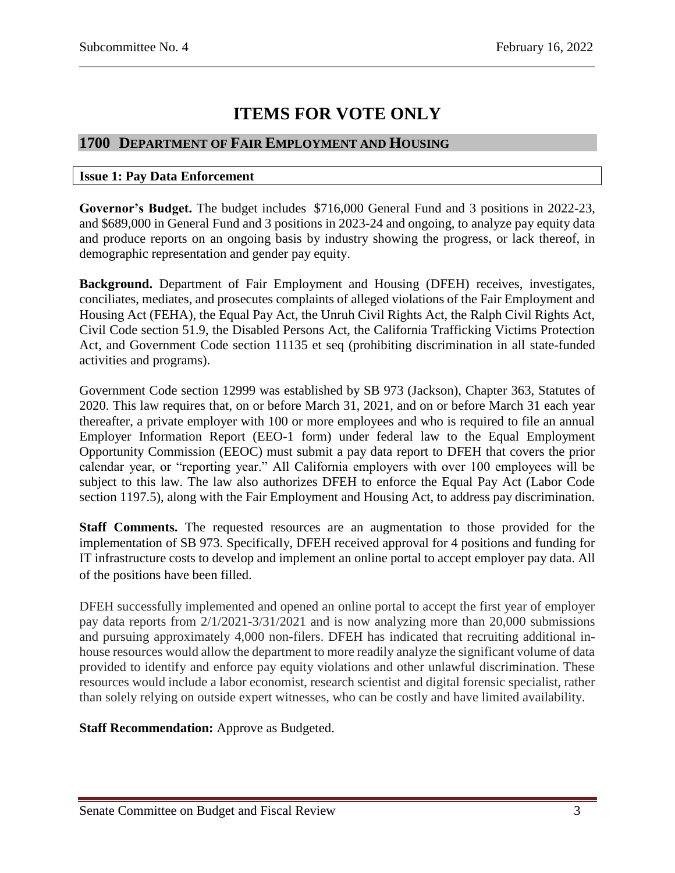# **ITEMS FOR VOTE ONLY**

## <span id="page-2-0"></span>**1700 DEPARTMENT OF FAIR EMPLOYMENT AND HOUSING**

#### <span id="page-2-1"></span>**Issue 1: Pay Data Enforcement**

**Governor's Budget.** The budget includes \$716,000 General Fund and 3 positions in 2022-23, and \$689,000 in General Fund and 3 positions in 2023-24 and ongoing, to analyze pay equity data and produce reports on an ongoing basis by industry showing the progress, or lack thereof, in demographic representation and gender pay equity.

**Background.** Department of Fair Employment and Housing (DFEH) receives, investigates, conciliates, mediates, and prosecutes complaints of alleged violations of the Fair Employment and Housing Act (FEHA), the Equal Pay Act, the Unruh Civil Rights Act, the Ralph Civil Rights Act, Civil Code section 51.9, the Disabled Persons Act, the California Trafficking Victims Protection Act, and Government Code section 11135 et seq (prohibiting discrimination in all state-funded activities and programs).

Government Code section 12999 was established by SB 973 (Jackson), Chapter 363, Statutes of 2020. This law requires that, on or before March 31, 2021, and on or before March 31 each year thereafter, a private employer with 100 or more employees and who is required to file an annual Employer Information Report (EEO-1 form) under federal law to the Equal Employment Opportunity Commission (EEOC) must submit a pay data report to DFEH that covers the prior calendar year, or "reporting year." All California employers with over 100 employees will be subject to this law. The law also authorizes DFEH to enforce the Equal Pay Act (Labor Code section 1197.5), along with the Fair Employment and Housing Act, to address pay discrimination.

**Staff Comments.** The requested resources are an augmentation to those provided for the implementation of SB 973. Specifically, DFEH received approval for 4 positions and funding for IT infrastructure costs to develop and implement an online portal to accept employer pay data. All of the positions have been filled.

DFEH successfully implemented and opened an online portal to accept the first year of employer pay data reports from 2/1/2021-3/31/2021 and is now analyzing more than 20,000 submissions and pursuing approximately 4,000 non-filers. DFEH has indicated that recruiting additional inhouse resources would allow the department to more readily analyze the significant volume of data provided to identify and enforce pay equity violations and other unlawful discrimination. These resources would include a labor economist, research scientist and digital forensic specialist, rather than solely relying on outside expert witnesses, who can be costly and have limited availability.

**Staff Recommendation:** Approve as Budgeted.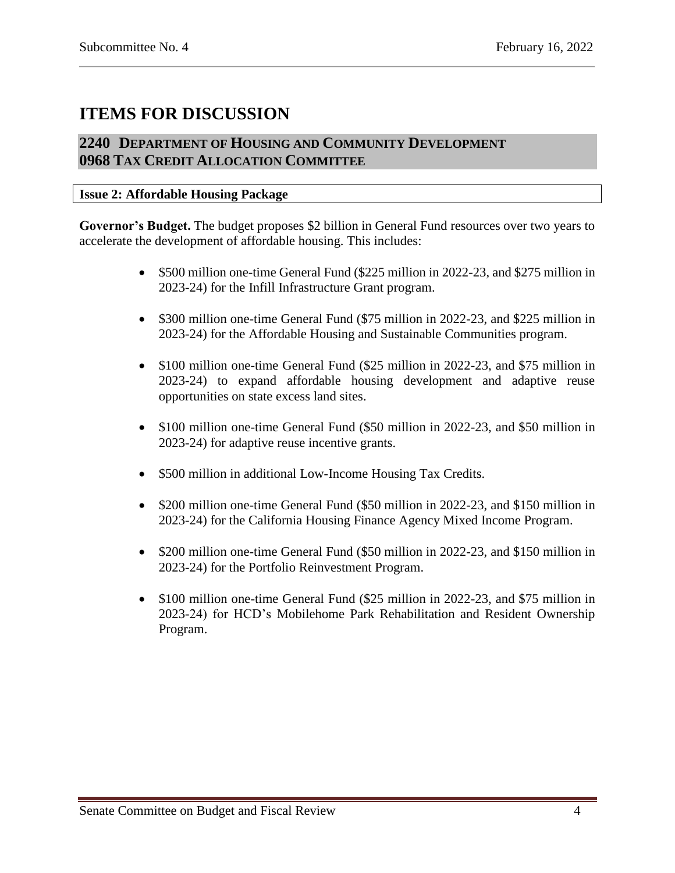# **ITEMS FOR DISCUSSION**

# <span id="page-3-1"></span><span id="page-3-0"></span>**2240 DEPARTMENT OF HOUSING AND COMMUNITY DEVELOPMENT 0968 TAX CREDIT ALLOCATION COMMITTEE**

#### <span id="page-3-2"></span>**Issue 2: Affordable Housing Package**

**Governor's Budget.** The budget proposes \$2 billion in General Fund resources over two years to accelerate the development of affordable housing. This includes:

- \$500 million one-time General Fund (\$225 million in 2022-23, and \$275 million in 2023-24) for the Infill Infrastructure Grant program.
- \$300 million one-time General Fund (\$75 million in 2022-23, and \$225 million in 2023-24) for the Affordable Housing and Sustainable Communities program.
- \$100 million one-time General Fund (\$25 million in 2022-23, and \$75 million in 2023-24) to expand affordable housing development and adaptive reuse opportunities on state excess land sites.
- \$100 million one-time General Fund (\$50 million in 2022-23, and \$50 million in 2023-24) for adaptive reuse incentive grants.
- \$500 million in additional Low-Income Housing Tax Credits.
- \$200 million one-time General Fund (\$50 million in 2022-23, and \$150 million in 2023-24) for the California Housing Finance Agency Mixed Income Program.
- \$200 million one-time General Fund (\$50 million in 2022-23, and \$150 million in 2023-24) for the Portfolio Reinvestment Program.
- \$100 million one-time General Fund (\$25 million in 2022-23, and \$75 million in 2023-24) for HCD's Mobilehome Park Rehabilitation and Resident Ownership Program.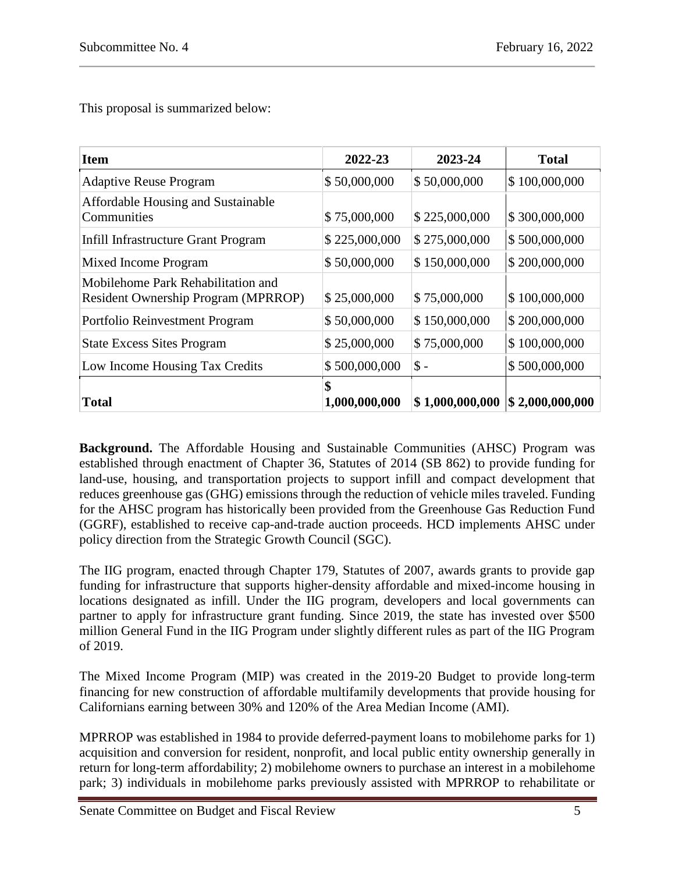| <b>Item</b>                                                               | 2022-23             | 2023-24         | <b>Total</b>    |  |
|---------------------------------------------------------------------------|---------------------|-----------------|-----------------|--|
| <b>Adaptive Reuse Program</b>                                             | \$50,000,000        | \$50,000,000    | \$100,000,000   |  |
| Affordable Housing and Sustainable<br>Communities                         | \$75,000,000        | \$225,000,000   | \$300,000,000   |  |
| Infill Infrastructure Grant Program                                       | \$225,000,000       | \$275,000,000   | \$500,000,000   |  |
| Mixed Income Program                                                      | \$50,000,000        | \$150,000,000   | \$200,000,000   |  |
| Mobilehome Park Rehabilitation and<br>Resident Ownership Program (MPRROP) | \$25,000,000        | \$75,000,000    | \$100,000,000   |  |
| Portfolio Reinvestment Program                                            | \$50,000,000        | \$150,000,000   | \$200,000,000   |  |
| <b>State Excess Sites Program</b>                                         | \$25,000,000        | \$75,000,000    | \$100,000,000   |  |
| Low Income Housing Tax Credits                                            | \$500,000,000       | $\mathsf{\$}$ - | \$500,000,000   |  |
| <b>Total</b>                                                              | \$<br>1,000,000,000 | \$1,000,000,000 | \$2,000,000,000 |  |

This proposal is summarized below:

**Background.** The Affordable Housing and Sustainable Communities (AHSC) Program was established through enactment of Chapter 36, Statutes of 2014 (SB 862) to provide funding for land-use, housing, and transportation projects to support infill and compact development that reduces greenhouse gas (GHG) emissions through the reduction of vehicle miles traveled. Funding for the AHSC program has historically been provided from the Greenhouse Gas Reduction Fund (GGRF), established to receive cap-and-trade auction proceeds. HCD implements AHSC under policy direction from the Strategic Growth Council (SGC).

The IIG program, enacted through Chapter 179, Statutes of 2007, awards grants to provide gap funding for infrastructure that supports higher-density affordable and mixed-income housing in locations designated as infill. Under the IIG program, developers and local governments can partner to apply for infrastructure grant funding. Since 2019, the state has invested over \$500 million General Fund in the IIG Program under slightly different rules as part of the IIG Program of 2019.

The Mixed Income Program (MIP) was created in the 2019-20 Budget to provide long-term financing for new construction of affordable multifamily developments that provide housing for Californians earning between 30% and 120% of the Area Median Income (AMI).

MPRROP was established in 1984 to provide deferred-payment loans to mobilehome parks for 1) acquisition and conversion for resident, nonprofit, and local public entity ownership generally in return for long-term affordability; 2) mobilehome owners to purchase an interest in a mobilehome park; 3) individuals in mobilehome parks previously assisted with MPRROP to rehabilitate or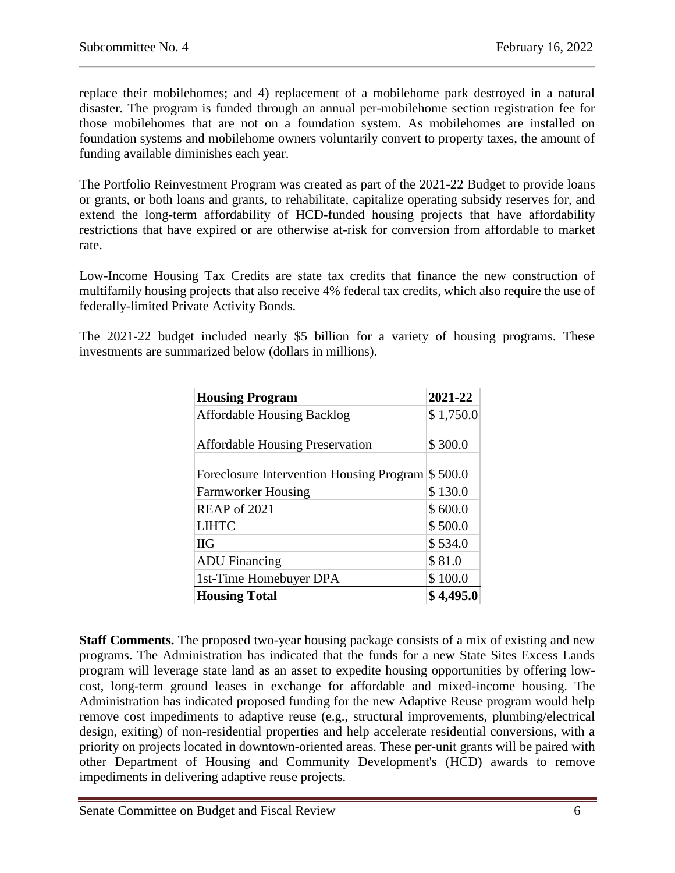replace their mobilehomes; and 4) replacement of a mobilehome park destroyed in a natural disaster. The program is funded through an annual per-mobilehome section registration fee for those mobilehomes that are not on a foundation system. As mobilehomes are installed on foundation systems and mobilehome owners voluntarily convert to property taxes, the amount of funding available diminishes each year.

The Portfolio Reinvestment Program was created as part of the 2021-22 Budget to provide loans or grants, or both loans and grants, to rehabilitate, capitalize operating subsidy reserves for, and extend the long-term affordability of HCD-funded housing projects that have affordability restrictions that have expired or are otherwise at-risk for conversion from affordable to market rate.

Low-Income Housing Tax Credits are state tax credits that finance the new construction of multifamily housing projects that also receive 4% federal tax credits, which also require the use of federally-limited Private Activity Bonds.

The 2021-22 budget included nearly \$5 billion for a variety of housing programs. These investments are summarized below (dollars in millions).

| <b>Housing Program</b>                   | 2021-22   |
|------------------------------------------|-----------|
| <b>Affordable Housing Backlog</b>        | \$1,750.0 |
|                                          |           |
| <b>Affordable Housing Preservation</b>   | \$300.0   |
| Foreclosure Intervention Housing Program | \$500.0   |
| <b>Farmworker Housing</b>                | \$130.0   |
| REAP of 2021                             | \$600.0   |
| <b>LIHTC</b>                             | \$500.0   |
| <b>IIG</b>                               | \$534.0   |
| <b>ADU</b> Financing                     | \$81.0    |
| 1st-Time Homebuyer DPA                   | \$100.0   |
| <b>Housing Total</b>                     | \$4,495.0 |

**Staff Comments.** The proposed two-year housing package consists of a mix of existing and new programs. The Administration has indicated that the funds for a new State Sites Excess Lands program will leverage state land as an asset to expedite housing opportunities by offering lowcost, long-term ground leases in exchange for affordable and mixed-income housing. The Administration has indicated proposed funding for the new Adaptive Reuse program would help remove cost impediments to adaptive reuse (e.g., structural improvements, plumbing/electrical design, exiting) of non-residential properties and help accelerate residential conversions, with a priority on projects located in downtown-oriented areas. These per-unit grants will be paired with other Department of Housing and Community Development's (HCD) awards to remove impediments in delivering adaptive reuse projects.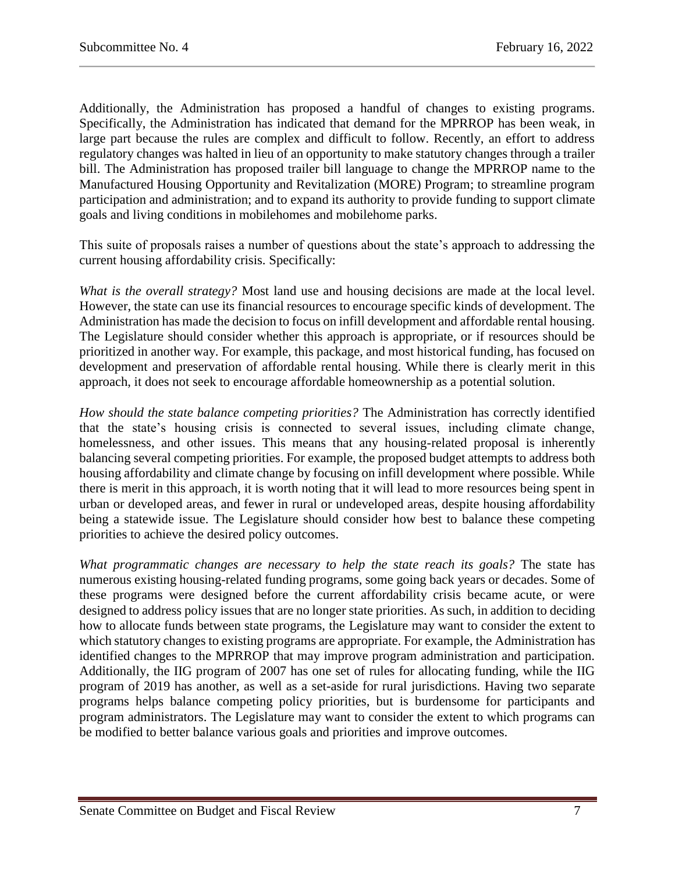Additionally, the Administration has proposed a handful of changes to existing programs. Specifically, the Administration has indicated that demand for the MPRROP has been weak, in large part because the rules are complex and difficult to follow. Recently, an effort to address regulatory changes was halted in lieu of an opportunity to make statutory changes through a trailer bill. The Administration has proposed trailer bill language to change the MPRROP name to the Manufactured Housing Opportunity and Revitalization (MORE) Program; to streamline program participation and administration; and to expand its authority to provide funding to support climate goals and living conditions in mobilehomes and mobilehome parks.

This suite of proposals raises a number of questions about the state's approach to addressing the current housing affordability crisis. Specifically:

*What is the overall strategy?* Most land use and housing decisions are made at the local level. However, the state can use its financial resources to encourage specific kinds of development. The Administration has made the decision to focus on infill development and affordable rental housing. The Legislature should consider whether this approach is appropriate, or if resources should be prioritized in another way. For example, this package, and most historical funding, has focused on development and preservation of affordable rental housing. While there is clearly merit in this approach, it does not seek to encourage affordable homeownership as a potential solution.

*How should the state balance competing priorities?* The Administration has correctly identified that the state's housing crisis is connected to several issues, including climate change, homelessness, and other issues. This means that any housing-related proposal is inherently balancing several competing priorities. For example, the proposed budget attempts to address both housing affordability and climate change by focusing on infill development where possible. While there is merit in this approach, it is worth noting that it will lead to more resources being spent in urban or developed areas, and fewer in rural or undeveloped areas, despite housing affordability being a statewide issue. The Legislature should consider how best to balance these competing priorities to achieve the desired policy outcomes.

*What programmatic changes are necessary to help the state reach its goals?* The state has numerous existing housing-related funding programs, some going back years or decades. Some of these programs were designed before the current affordability crisis became acute, or were designed to address policy issues that are no longer state priorities. As such, in addition to deciding how to allocate funds between state programs, the Legislature may want to consider the extent to which statutory changes to existing programs are appropriate. For example, the Administration has identified changes to the MPRROP that may improve program administration and participation. Additionally, the IIG program of 2007 has one set of rules for allocating funding, while the IIG program of 2019 has another, as well as a set-aside for rural jurisdictions. Having two separate programs helps balance competing policy priorities, but is burdensome for participants and program administrators. The Legislature may want to consider the extent to which programs can be modified to better balance various goals and priorities and improve outcomes.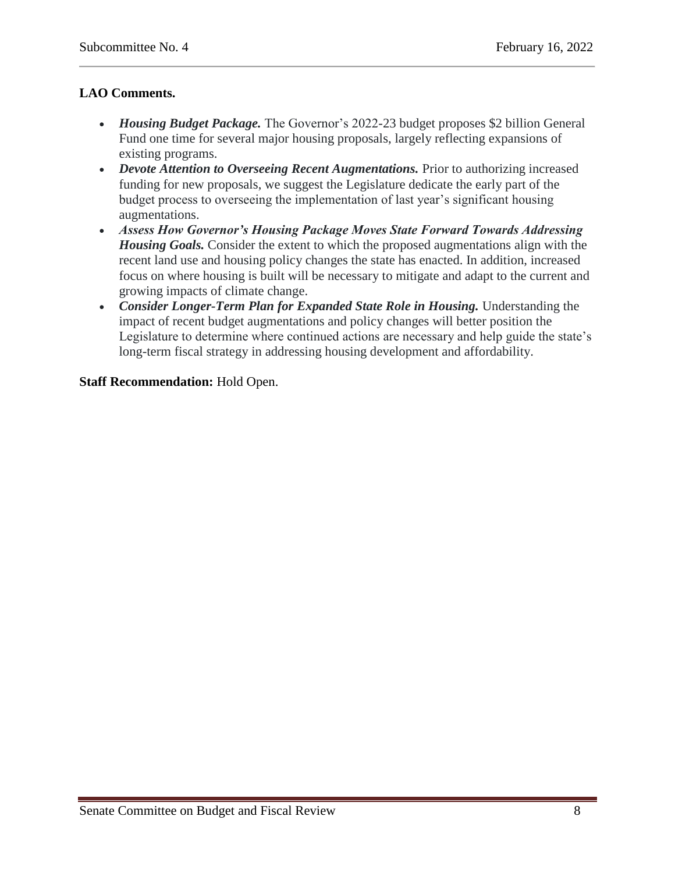# **LAO Comments.**

- *Housing Budget Package.* The Governor's 2022-23 budget proposes \$2 billion General Fund one time for several major housing proposals, largely reflecting expansions of existing programs.
- *Devote Attention to Overseeing Recent Augmentations.* Prior to authorizing increased funding for new proposals, we suggest the Legislature dedicate the early part of the budget process to overseeing the implementation of last year's significant housing augmentations.
- *Assess How Governor's Housing Package Moves State Forward Towards Addressing Housing Goals.* Consider the extent to which the proposed augmentations align with the recent land use and housing policy changes the state has enacted. In addition, increased focus on where housing is built will be necessary to mitigate and adapt to the current and growing impacts of climate change.
- *Consider Longer-Term Plan for Expanded State Role in Housing.* Understanding the impact of recent budget augmentations and policy changes will better position the Legislature to determine where continued actions are necessary and help guide the state's long-term fiscal strategy in addressing housing development and affordability.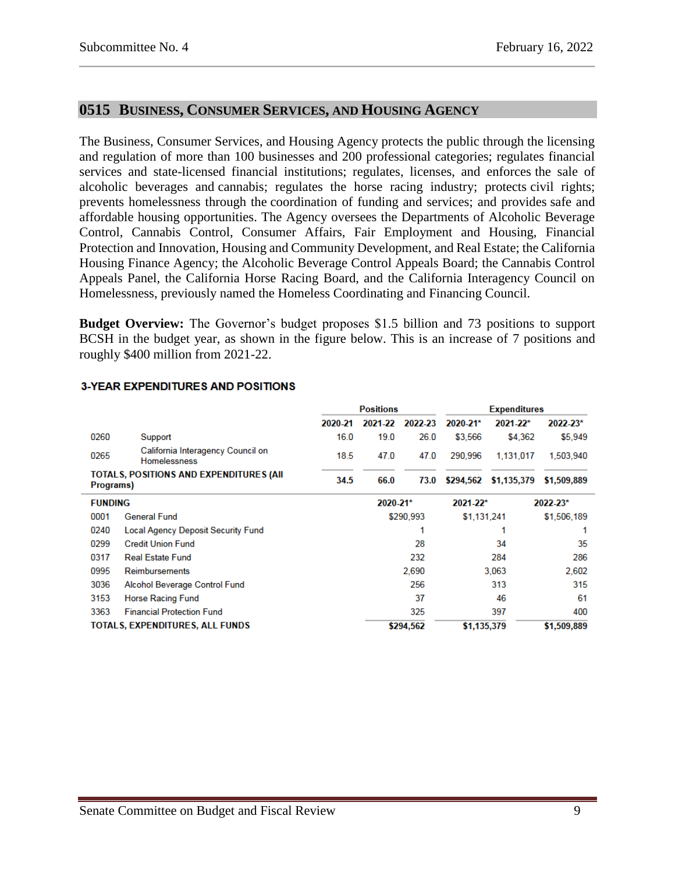# <span id="page-8-0"></span>**0515 BUSINESS, CONSUMER SERVICES, AND HOUSING AGENCY**

The Business, Consumer Services, and Housing Agency protects the public through the licensing and regulation of more than 100 businesses and 200 professional categories; regulates financial services and state-licensed financial institutions; regulates, licenses, and enforces the sale of alcoholic beverages and cannabis; regulates the horse racing industry; protects civil rights; prevents homelessness through the coordination of funding and services; and provides safe and affordable housing opportunities. The Agency oversees the Departments of Alcoholic Beverage Control, Cannabis Control, Consumer Affairs, Fair Employment and Housing, Financial Protection and Innovation, Housing and Community Development, and Real Estate; the California Housing Finance Agency; the Alcoholic Beverage Control Appeals Board; the Cannabis Control Appeals Panel, the California Horse Racing Board, and the California Interagency Council on Homelessness, previously named the Homeless Coordinating and Financing Council.

**Budget Overview:** The Governor's budget proposes \$1.5 billion and 73 positions to support BCSH in the budget year, as shown in the figure below. This is an increase of 7 positions and roughly \$400 million from 2021-22.

|                                                      |                                                          | <b>Positions</b> |         |           | <b>Expenditures</b> |                           |             |  |
|------------------------------------------------------|----------------------------------------------------------|------------------|---------|-----------|---------------------|---------------------------|-------------|--|
|                                                      |                                                          | 2020-21          | 2021-22 | 2022-23   | 2020-21*            | $2021 - 22$ *             | 2022-23*    |  |
| 0260                                                 | Support                                                  | 16.0             | 19.0    | 26.0      | \$3,566             | \$4,362                   | \$5,949     |  |
| 0265                                                 | California Interagency Council on<br><b>Homelessness</b> | 18.5             | 47.0    | 47.0      | 290,996             | 1,131,017                 | 1,503,940   |  |
| TOTALS, POSITIONS AND EXPENDITURES (AII<br>Programs) |                                                          | 34.5             | 66.0    | 73.0      | \$294,562           | \$1,135,379               | \$1,509,889 |  |
| <b>FUNDING</b>                                       |                                                          |                  |         | 2020-21*  |                     | $2021 - 22$ *<br>2022-23* |             |  |
| 0001                                                 | <b>General Fund</b>                                      |                  |         | \$290,993 | \$1,131,241         |                           | \$1,506,189 |  |
| 0240                                                 | <b>Local Agency Deposit Security Fund</b>                |                  |         |           |                     |                           |             |  |
| 0299                                                 | <b>Credit Union Fund</b>                                 |                  |         | 28        |                     | 34                        | 35          |  |
| 0317                                                 | <b>Real Estate Fund</b>                                  |                  | 232     |           |                     | 284                       | 286         |  |
| 0995                                                 | <b>Reimbursements</b>                                    |                  | 2,690   |           | 3.063               |                           | 2,602       |  |
| 3036                                                 | Alcohol Beverage Control Fund                            |                  | 256     |           | 313                 |                           | 315         |  |
| 3153                                                 | <b>Horse Racing Fund</b>                                 | 37               |         |           | 46                  | 61                        |             |  |
| 3363                                                 | <b>Financial Protection Fund</b>                         | 325              |         |           | 397                 |                           | 400         |  |
| TOTALS, EXPENDITURES, ALL FUNDS                      |                                                          |                  |         | \$294,562 | \$1,135,379         |                           | \$1,509,889 |  |

#### **3-YEAR EXPENDITURES AND POSITIONS**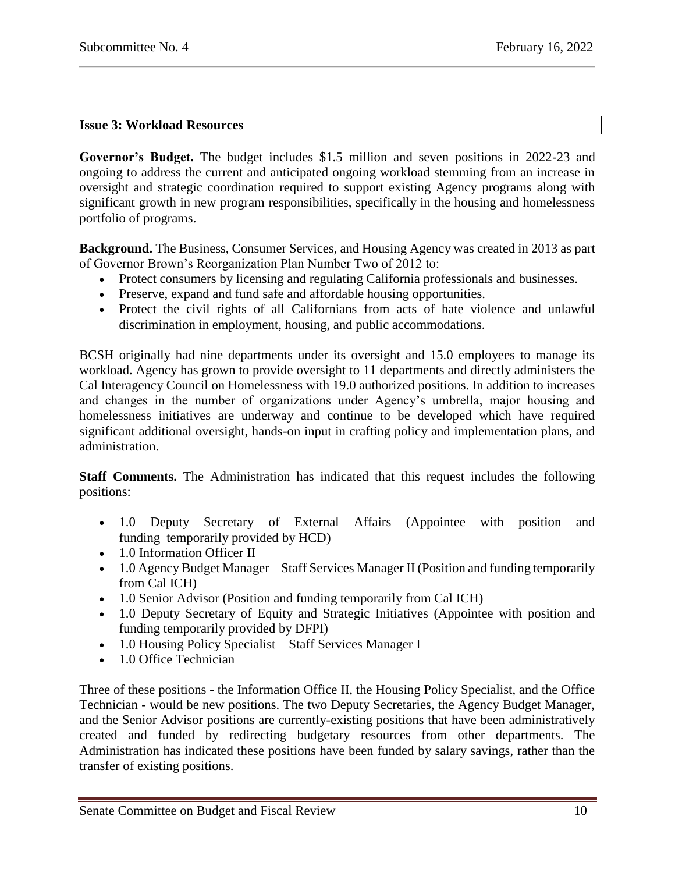#### <span id="page-9-0"></span>**Issue 3: Workload Resources**

**Governor's Budget.** The budget includes \$1.5 million and seven positions in 2022-23 and ongoing to address the current and anticipated ongoing workload stemming from an increase in oversight and strategic coordination required to support existing Agency programs along with significant growth in new program responsibilities, specifically in the housing and homelessness portfolio of programs.

**Background.** The Business, Consumer Services, and Housing Agency was created in 2013 as part of Governor Brown's Reorganization Plan Number Two of 2012 to:

- Protect consumers by licensing and regulating California professionals and businesses.
- Preserve, expand and fund safe and affordable housing opportunities.
- Protect the civil rights of all Californians from acts of hate violence and unlawful discrimination in employment, housing, and public accommodations.

BCSH originally had nine departments under its oversight and 15.0 employees to manage its workload. Agency has grown to provide oversight to 11 departments and directly administers the Cal Interagency Council on Homelessness with 19.0 authorized positions. In addition to increases and changes in the number of organizations under Agency's umbrella, major housing and homelessness initiatives are underway and continue to be developed which have required significant additional oversight, hands-on input in crafting policy and implementation plans, and administration.

**Staff Comments.** The Administration has indicated that this request includes the following positions:

- 1.0 Deputy Secretary of External Affairs (Appointee with position and funding temporarily provided by HCD)
- 1.0 Information Officer II
- 1.0 Agency Budget Manager Staff Services Manager II (Position and funding temporarily from Cal ICH)
- 1.0 Senior Advisor (Position and funding temporarily from Cal ICH)
- 1.0 Deputy Secretary of Equity and Strategic Initiatives (Appointee with position and funding temporarily provided by DFPI)
- 1.0 Housing Policy Specialist Staff Services Manager I
- 1.0 Office Technician

Three of these positions - the Information Office II, the Housing Policy Specialist, and the Office Technician - would be new positions. The two Deputy Secretaries, the Agency Budget Manager, and the Senior Advisor positions are currently-existing positions that have been administratively created and funded by redirecting budgetary resources from other departments. The Administration has indicated these positions have been funded by salary savings, rather than the transfer of existing positions.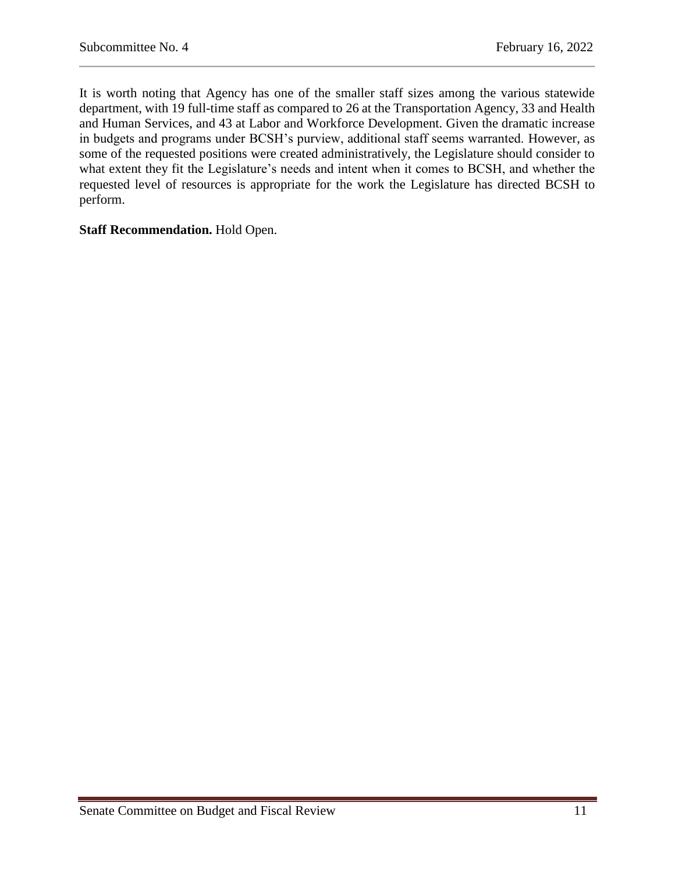It is worth noting that Agency has one of the smaller staff sizes among the various statewide department, with 19 full-time staff as compared to 26 at the Transportation Agency, 33 and Health and Human Services, and 43 at Labor and Workforce Development. Given the dramatic increase in budgets and programs under BCSH's purview, additional staff seems warranted. However, as some of the requested positions were created administratively, the Legislature should consider to what extent they fit the Legislature's needs and intent when it comes to BCSH, and whether the requested level of resources is appropriate for the work the Legislature has directed BCSH to perform.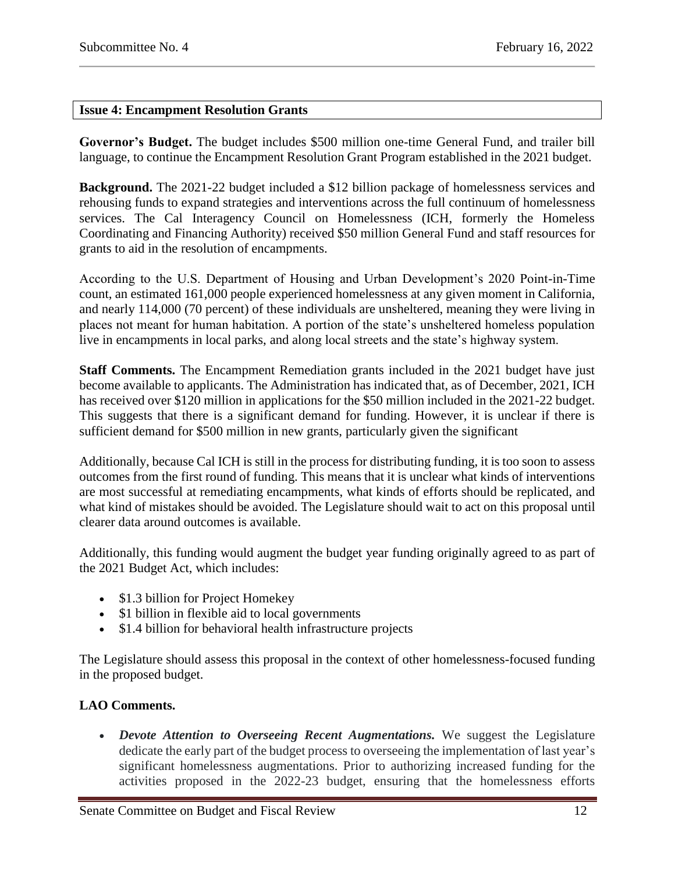### <span id="page-11-0"></span>**Issue 4: Encampment Resolution Grants**

**Governor's Budget.** The budget includes \$500 million one-time General Fund, and trailer bill language, to continue the Encampment Resolution Grant Program established in the 2021 budget.

**Background.** The 2021-22 budget included a \$12 billion package of homelessness services and rehousing funds to expand strategies and interventions across the full continuum of homelessness services. The Cal Interagency Council on Homelessness (ICH, formerly the Homeless Coordinating and Financing Authority) received \$50 million General Fund and staff resources for grants to aid in the resolution of encampments.

According to the U.S. Department of Housing and Urban Development's 2020 Point-in-Time count, an estimated 161,000 people experienced homelessness at any given moment in California, and nearly 114,000 (70 percent) of these individuals are unsheltered, meaning they were living in places not meant for human habitation. A portion of the state's unsheltered homeless population live in encampments in local parks, and along local streets and the state's highway system.

**Staff Comments.** The Encampment Remediation grants included in the 2021 budget have just become available to applicants. The Administration has indicated that, as of December, 2021, ICH has received over \$120 million in applications for the \$50 million included in the 2021-22 budget. This suggests that there is a significant demand for funding. However, it is unclear if there is sufficient demand for \$500 million in new grants, particularly given the significant

Additionally, because Cal ICH is still in the process for distributing funding, it is too soon to assess outcomes from the first round of funding. This means that it is unclear what kinds of interventions are most successful at remediating encampments, what kinds of efforts should be replicated, and what kind of mistakes should be avoided. The Legislature should wait to act on this proposal until clearer data around outcomes is available.

Additionally, this funding would augment the budget year funding originally agreed to as part of the 2021 Budget Act, which includes:

- \$1.3 billion for Project Homekey
- \$1 billion in flexible aid to local governments
- \$1.4 billion for behavioral health infrastructure projects

The Legislature should assess this proposal in the context of other homelessness-focused funding in the proposed budget.

### **LAO Comments.**

 *Devote Attention to Overseeing Recent Augmentations.* We suggest the Legislature dedicate the early part of the budget process to overseeing the implementation of last year's significant homelessness augmentations. Prior to authorizing increased funding for the activities proposed in the 2022-23 budget, ensuring that the homelessness efforts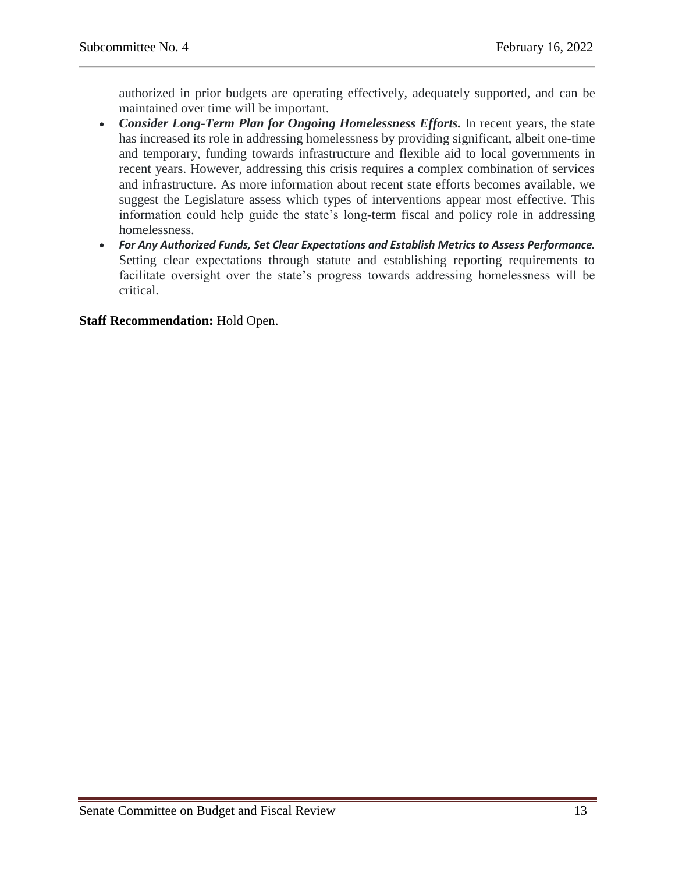authorized in prior budgets are operating effectively, adequately supported, and can be maintained over time will be important.

- Consider Long-Term Plan for Ongoing Homelessness Efforts. In recent years, the state has increased its role in addressing homelessness by providing significant, albeit one-time and temporary, funding towards infrastructure and flexible aid to local governments in recent years. However, addressing this crisis requires a complex combination of services and infrastructure. As more information about recent state efforts becomes available, we suggest the Legislature assess which types of interventions appear most effective. This information could help guide the state's long-term fiscal and policy role in addressing homelessness.
- *For Any Authorized Funds, Set Clear Expectations and Establish Metrics to Assess Performance.*  Setting clear expectations through statute and establishing reporting requirements to facilitate oversight over the state's progress towards addressing homelessness will be critical.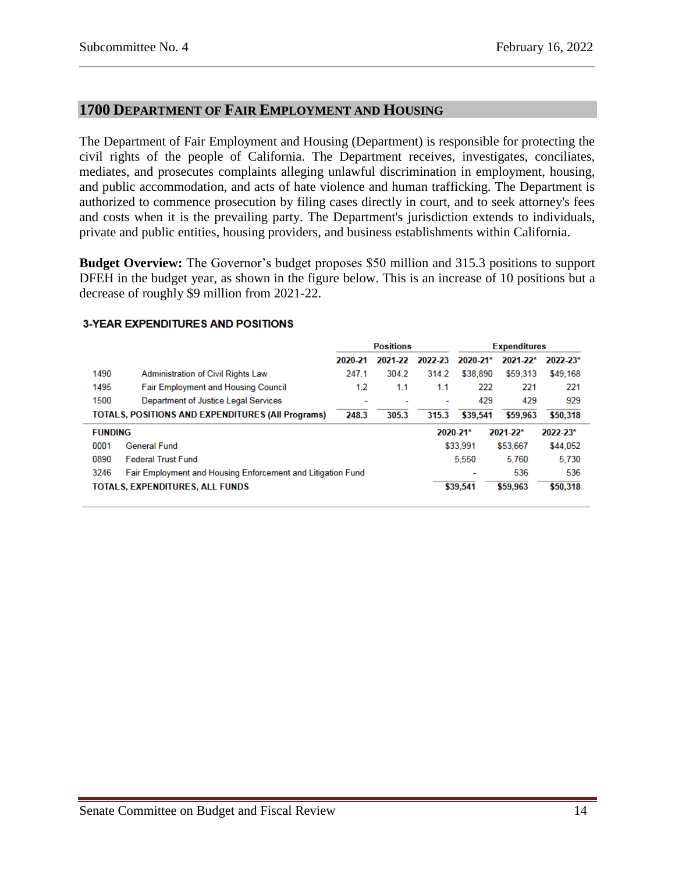# <span id="page-13-0"></span>**1700 DEPARTMENT OF FAIR EMPLOYMENT AND HOUSING**

The Department of Fair Employment and Housing (Department) is responsible for protecting the civil rights of the people of California. The Department receives, investigates, conciliates, mediates, and prosecutes complaints alleging unlawful discrimination in employment, housing, and public accommodation, and acts of hate violence and human trafficking. The Department is authorized to commence prosecution by filing cases directly in court, and to seek attorney's fees and costs when it is the prevailing party. The Department's jurisdiction extends to individuals, private and public entities, housing providers, and business establishments within California.

**Budget Overview:** The Governor's budget proposes \$50 million and 315.3 positions to support DFEH in the budget year, as shown in the figure below. This is an increase of 10 positions but a decrease of roughly \$9 million from 2021-22.

|                                        |                                                                    | <b>Positions</b> |         |          |               | <b>Expenditures</b> |            |
|----------------------------------------|--------------------------------------------------------------------|------------------|---------|----------|---------------|---------------------|------------|
|                                        |                                                                    | 2020-21          | 2021-22 | 2022-23  | $2020 - 21$ * | $2021 - 22$ *       | $2022.23*$ |
| 1490                                   | Administration of Civil Rights Law                                 | 247.1            | 304.2   | 314.2    | \$38.890      | \$59,313            | \$49,168   |
| 1495                                   | <b>Fair Employment and Housing Council</b>                         | 1.2              | 1.1     | 1.1      | 222           | 221                 | 221        |
| 1500                                   | Department of Justice Legal Services                               |                  |         | ٠        | 429           | 429                 | 929        |
|                                        | <b>TOTALS, POSITIONS AND EXPENDITURES (All Programs)</b>           | 248.3            | 305.3   | 315.3    | \$39.541      | \$59.963            | \$50,318   |
| <b>FUNDING</b>                         |                                                                    |                  |         | 2020-21* |               | $2021 - 22$ *       | 2022-23*   |
| 0001                                   | <b>General Fund</b>                                                |                  |         |          | \$33.991      | \$53,667            | \$44,052   |
| 0890                                   | <b>Federal Trust Fund</b>                                          |                  |         |          | 5,550         | 5,760               | 5.730      |
| 3246                                   | <b>Fair Employment and Housing Enforcement and Litigation Fund</b> |                  |         |          | ٠             | 536                 | 536        |
| <b>TOTALS, EXPENDITURES, ALL FUNDS</b> |                                                                    |                  |         |          | \$39.541      | \$59,963            | \$50,318   |

#### **3-YEAR EXPENDITURES AND POSITIONS**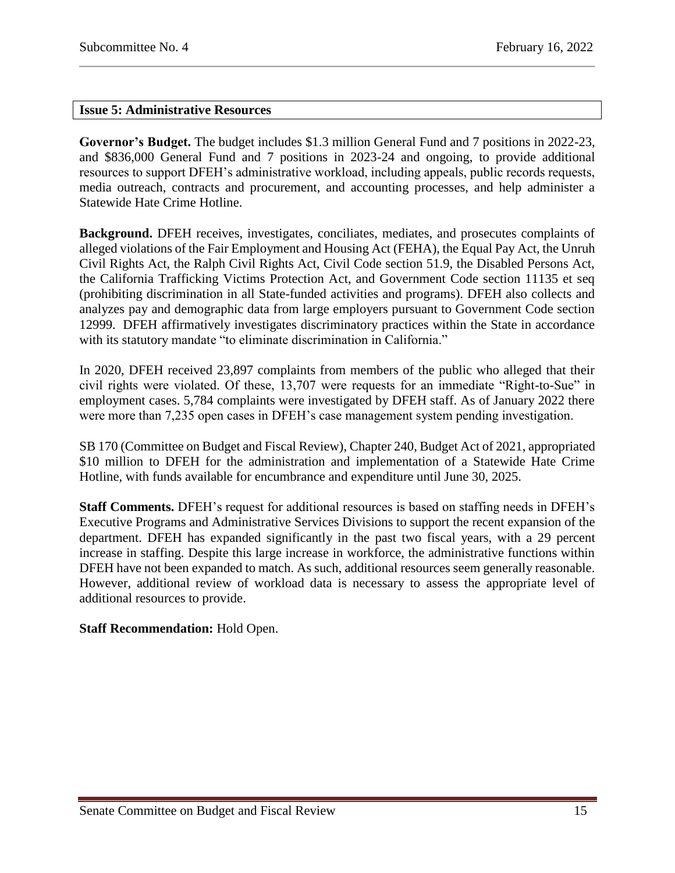#### <span id="page-14-0"></span>**Issue 5: Administrative Resources**

**Governor's Budget.** The budget includes \$1.3 million General Fund and 7 positions in 2022-23, and \$836,000 General Fund and 7 positions in 2023-24 and ongoing, to provide additional resources to support DFEH's administrative workload, including appeals, public records requests, media outreach, contracts and procurement, and accounting processes, and help administer a Statewide Hate Crime Hotline.

**Background.** DFEH receives, investigates, conciliates, mediates, and prosecutes complaints of alleged violations of the Fair Employment and Housing Act (FEHA), the Equal Pay Act, the Unruh Civil Rights Act, the Ralph Civil Rights Act, Civil Code section 51.9, the Disabled Persons Act, the California Trafficking Victims Protection Act, and Government Code section 11135 et seq (prohibiting discrimination in all State-funded activities and programs). DFEH also collects and analyzes pay and demographic data from large employers pursuant to Government Code section 12999. DFEH affirmatively investigates discriminatory practices within the State in accordance with its statutory mandate "to eliminate discrimination in California."

In 2020, DFEH received 23,897 complaints from members of the public who alleged that their civil rights were violated. Of these, 13,707 were requests for an immediate "Right-to-Sue" in employment cases. 5,784 complaints were investigated by DFEH staff. As of January 2022 there were more than 7,235 open cases in DFEH's case management system pending investigation.

SB 170 (Committee on Budget and Fiscal Review), Chapter 240, Budget Act of 2021, appropriated \$10 million to DFEH for the administration and implementation of a Statewide Hate Crime Hotline, with funds available for encumbrance and expenditure until June 30, 2025.

**Staff Comments.** DFEH's request for additional resources is based on staffing needs in DFEH's Executive Programs and Administrative Services Divisions to support the recent expansion of the department. DFEH has expanded significantly in the past two fiscal years, with a 29 percent increase in staffing. Despite this large increase in workforce, the administrative functions within DFEH have not been expanded to match. As such, additional resources seem generally reasonable. However, additional review of workload data is necessary to assess the appropriate level of additional resources to provide.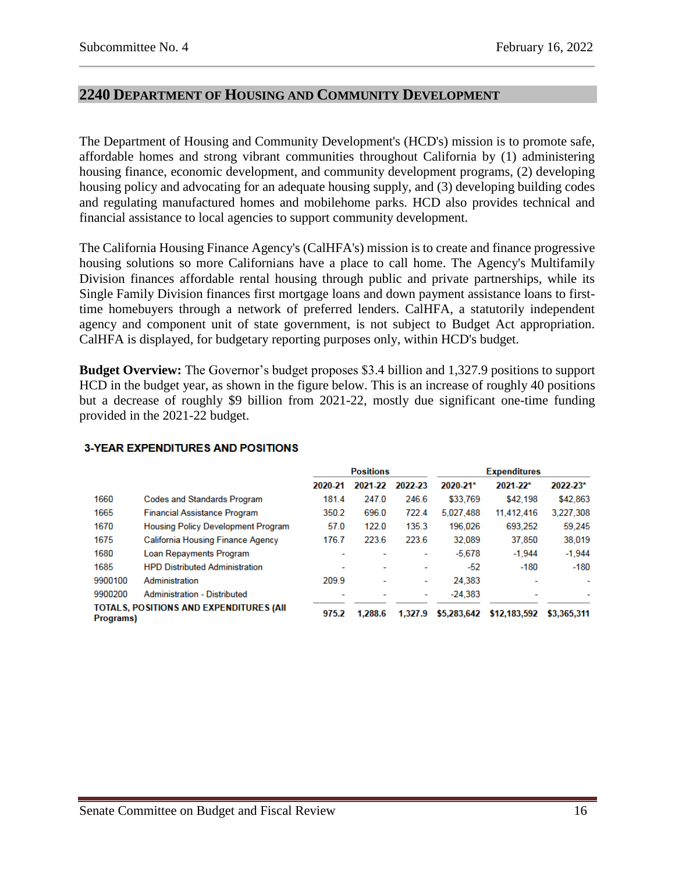## <span id="page-15-0"></span>**2240 DEPARTMENT OF HOUSING AND COMMUNITY DEVELOPMENT**

The Department of Housing and Community Development's (HCD's) mission is to promote safe, affordable homes and strong vibrant communities throughout California by (1) administering housing finance, economic development, and community development programs, (2) developing housing policy and advocating for an adequate housing supply, and (3) developing building codes and regulating manufactured homes and mobilehome parks. HCD also provides technical and financial assistance to local agencies to support community development.

The California Housing Finance Agency's (CalHFA's) mission is to create and finance progressive housing solutions so more Californians have a place to call home. The Agency's Multifamily Division finances affordable rental housing through public and private partnerships, while its Single Family Division finances first mortgage loans and down payment assistance loans to firsttime homebuyers through a network of preferred lenders. CalHFA, a statutorily independent agency and component unit of state government, is not subject to Budget Act appropriation. CalHFA is displayed, for budgetary reporting purposes only, within HCD's budget.

**Budget Overview:** The Governor's budget proposes \$3.4 billion and 1,327.9 positions to support HCD in the budget year, as shown in the figure below. This is an increase of roughly 40 positions but a decrease of roughly \$9 billion from 2021-22, mostly due significant one-time funding provided in the 2021-22 budget.

|                                                             |                                       | <b>Positions</b> |         |         | <b>Expenditures</b> |                |             |  |
|-------------------------------------------------------------|---------------------------------------|------------------|---------|---------|---------------------|----------------|-------------|--|
|                                                             |                                       | 2020-21          | 2021-22 | 2022-23 | $2020 - 21$ *       | $2021 - 22$ *  | 2022-23*    |  |
| 1660                                                        | <b>Codes and Standards Program</b>    | 181.4            | 247.0   | 246.6   | \$33.769            | \$42.198       | \$42.863    |  |
| 1665                                                        | <b>Financial Assistance Program</b>   | 350.2            | 696.0   | 722.4   | 5.027.488           | 11.412.416     | 3,227,308   |  |
| 1670                                                        | Housing Policy Development Program    | 57.0             | 122.0   | 135.3   | 196.026             | 693.252        | 59.245      |  |
| 1675                                                        | California Housing Finance Agency     | 176.7            | 223.6   | 223.6   | 32.089              | 37,850         | 38,019      |  |
| 1680                                                        | <b>Loan Repayments Program</b>        |                  |         |         | $-5.678$            | $-1.944$       | $-1.944$    |  |
| 1685                                                        | <b>HPD Distributed Administration</b> |                  | ٠       | ٠       | $-52$               | $-180$         | $-180$      |  |
| 9900100                                                     | Administration                        | 209.9            | ٠       | ۰       | 24.383              | $\overline{a}$ | ۰           |  |
| 9900200                                                     | <b>Administration - Distributed</b>   |                  |         | ٠       | $-24.383$           |                | ۰           |  |
| <b>TOTALS, POSITIONS AND EXPENDITURES (AII</b><br>Programs) |                                       | 975.2            | 1.288.6 | 1.327.9 | \$5,283,642         | \$12,183,592   | \$3.365.311 |  |

#### **3-YEAR EXPENDITURES AND POSITIONS**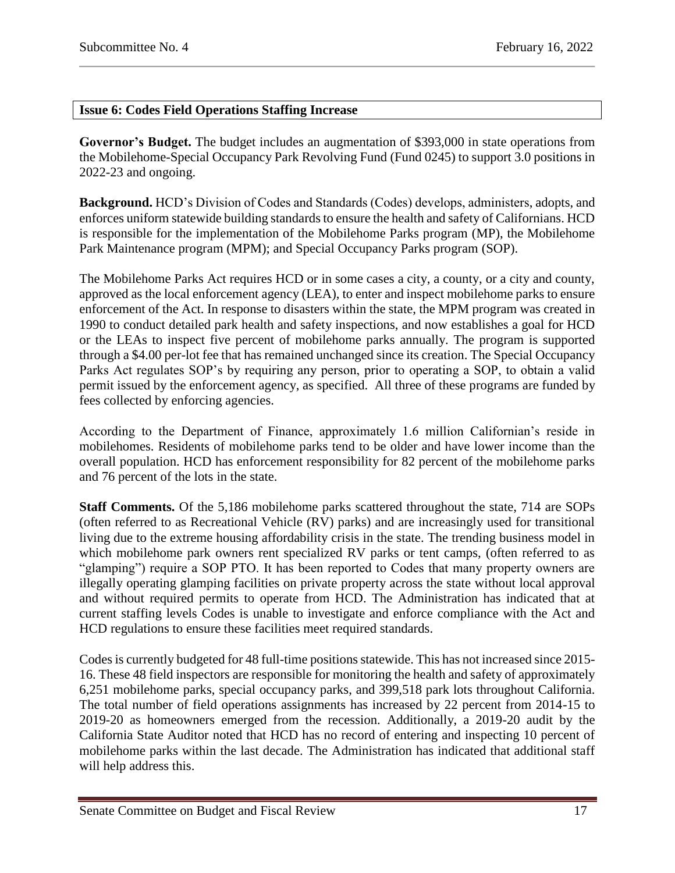### <span id="page-16-0"></span>**Issue 6: Codes Field Operations Staffing Increase**

**Governor's Budget.** The budget includes an augmentation of \$393,000 in state operations from the Mobilehome-Special Occupancy Park Revolving Fund (Fund 0245) to support 3.0 positions in 2022-23 and ongoing.

**Background.** HCD's Division of Codes and Standards (Codes) develops, administers, adopts, and enforces uniform statewide building standards to ensure the health and safety of Californians. HCD is responsible for the implementation of the Mobilehome Parks program (MP), the Mobilehome Park Maintenance program (MPM); and Special Occupancy Parks program (SOP).

The Mobilehome Parks Act requires HCD or in some cases a city, a county, or a city and county, approved as the local enforcement agency (LEA), to enter and inspect mobilehome parks to ensure enforcement of the Act. In response to disasters within the state, the MPM program was created in 1990 to conduct detailed park health and safety inspections, and now establishes a goal for HCD or the LEAs to inspect five percent of mobilehome parks annually. The program is supported through a \$4.00 per-lot fee that has remained unchanged since its creation. The Special Occupancy Parks Act regulates SOP's by requiring any person, prior to operating a SOP, to obtain a valid permit issued by the enforcement agency, as specified. All three of these programs are funded by fees collected by enforcing agencies.

According to the Department of Finance, approximately 1.6 million Californian's reside in mobilehomes. Residents of mobilehome parks tend to be older and have lower income than the overall population. HCD has enforcement responsibility for 82 percent of the mobilehome parks and 76 percent of the lots in the state.

**Staff Comments.** Of the 5,186 mobilehome parks scattered throughout the state, 714 are SOPs (often referred to as Recreational Vehicle (RV) parks) and are increasingly used for transitional living due to the extreme housing affordability crisis in the state. The trending business model in which mobilehome park owners rent specialized RV parks or tent camps, (often referred to as "glamping") require a SOP PTO. It has been reported to Codes that many property owners are illegally operating glamping facilities on private property across the state without local approval and without required permits to operate from HCD. The Administration has indicated that at current staffing levels Codes is unable to investigate and enforce compliance with the Act and HCD regulations to ensure these facilities meet required standards.

Codes is currently budgeted for 48 full-time positions statewide. This has not increased since 2015- 16. These 48 field inspectors are responsible for monitoring the health and safety of approximately 6,251 mobilehome parks, special occupancy parks, and 399,518 park lots throughout California. The total number of field operations assignments has increased by 22 percent from 2014-15 to 2019-20 as homeowners emerged from the recession. Additionally, a 2019-20 audit by the California State Auditor noted that HCD has no record of entering and inspecting 10 percent of mobilehome parks within the last decade. The Administration has indicated that additional staff will help address this.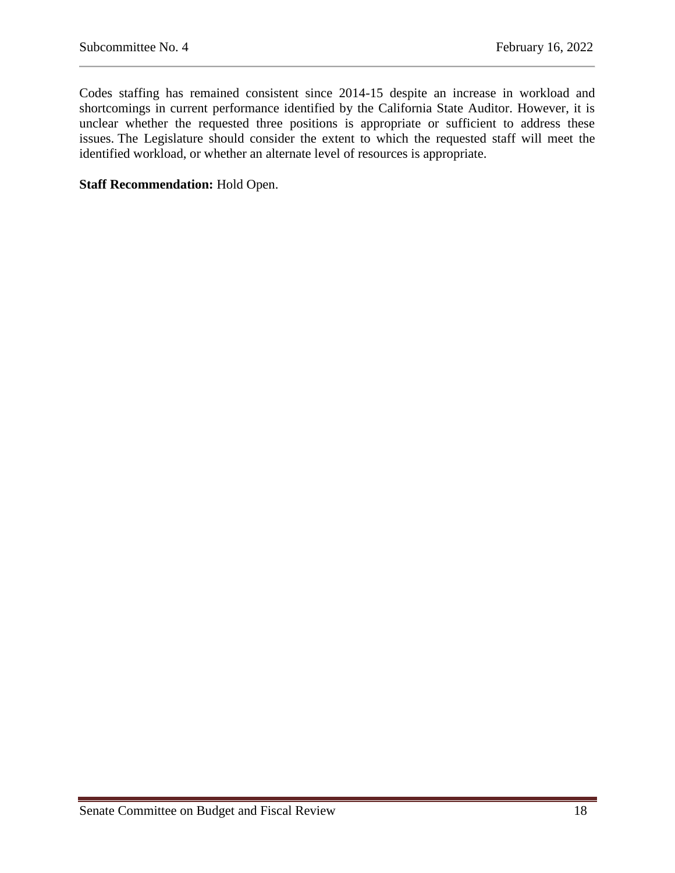Codes staffing has remained consistent since 2014-15 despite an increase in workload and shortcomings in current performance identified by the California State Auditor. However, it is unclear whether the requested three positions is appropriate or sufficient to address these issues. The Legislature should consider the extent to which the requested staff will meet the identified workload, or whether an alternate level of resources is appropriate.